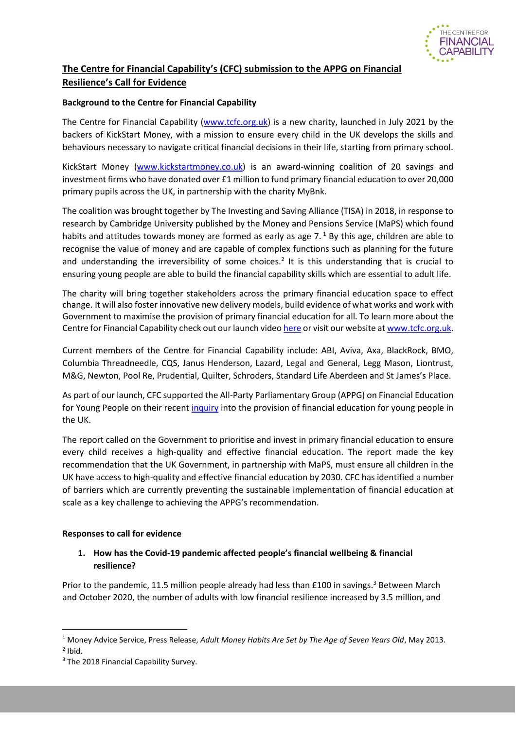

# **The Centre for Financial Capability's (CFC) submission to the APPG on Financial Resilience's Call for Evidence**

#### **Background to the Centre for Financial Capability**

The Centre for Financial Capability [\(www.tcfc.org.uk\)](http://www.tcfc.org.uk/) is a new charity, launched in July 2021 by the backers of KickStart Money, with a mission to ensure every child in the UK develops the skills and behaviours necessary to navigate critical financial decisions in their life, starting from primary school.

KickStart Money [\(www.kickstartmoney.co.uk\)](http://www.kickstartmoney.co.uk/) is an award-winning coalition of 20 savings and investment firms who have donated over £1 million to fund primary financial education to over 20,000 primary pupils across the UK, in partnership with the charity MyBnk.

The coalition was brought together by The Investing and Saving Alliance (TISA) in 2018, in response to research by Cambridge University published by the Money and Pensions Service (MaPS) which found habits and attitudes towards money are formed as early as age  $7<sup>1</sup>$  By this age, children are able to recognise the value of money and are capable of complex functions such as planning for the future and understanding the irreversibility of some choices.<sup>2</sup> It is this understanding that is crucial to ensuring young people are able to build the financial capability skills which are essential to adult life.

The charity will bring together stakeholders across the primary financial education space to effect change. It will also foster innovative new delivery models, build evidence of what works and work with Government to maximise the provision of primary financial education for all. To learn more about the Centre for Financial Capability check out our launch vide[o here](https://youtu.be/v5Ol-dTIgds) or visit our website a[t www.tcfc.org.uk.](http://www.tcfc.org.uk/)

Current members of the Centre for Financial Capability include: ABI, Aviva, Axa, BlackRock, BMO, Columbia Threadneedle, CQS, Janus Henderson, Lazard, Legal and General, Legg Mason, Liontrust, M&G, Newton, Pool Re, Prudential, Quilter, Schroders, Standard Life Aberdeen and St James's Place.

As part of our launch, CFC supported the All-Party Parliamentary Group (APPG) on Financial Education for Young People on their recent [inquiry](https://www.young-enterprise.org.uk/wp-content/uploads/2021/07/Inquiry-on-primary-school-aged-financial-education-Report.pdf) into the provision of financial education for young people in the UK.

The report called on the Government to prioritise and invest in primary financial education to ensure every child receives a high-quality and effective financial education. The report made the key recommendation that the UK Government, in partnership with MaPS, must ensure all children in the UK have access to high-quality and effective financial education by 2030. CFC has identified a number of barriers which are currently preventing the sustainable implementation of financial education at scale as a key challenge to achieving the APPG's recommendation.

#### **Responses to call for evidence**

### **1. How has the Covid-19 pandemic affected people's financial wellbeing & financial resilience?**

Prior to the pandemic, 11.5 million people already had less than  $£100$  in savings.<sup>3</sup> Between March and October 2020, the number of adults with low financial resilience increased by 3.5 million, and

<sup>1</sup> Money Advice Service, Press Release, *Adult Money Habits Are Set by The Age of Seven Years Old*, May 2013.

 $<sup>2</sup>$  Ibid.</sup>

<sup>&</sup>lt;sup>3</sup> The 2018 Financial Capability Survey.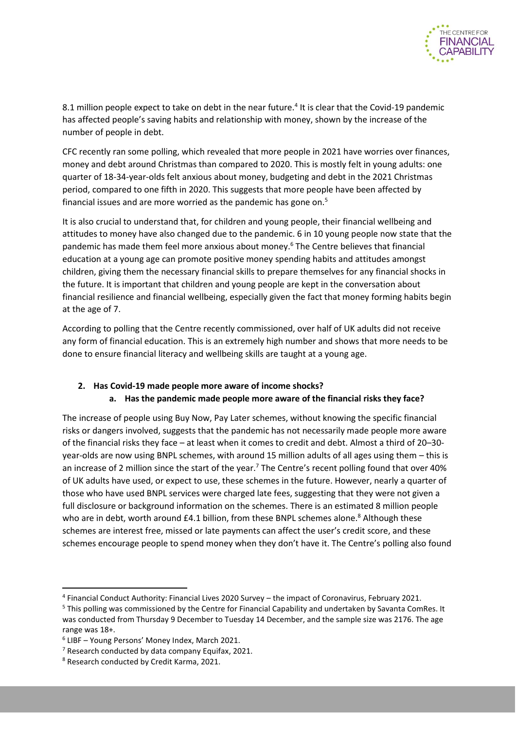

8.1 million people expect to take on debt in the near future.<sup>4</sup> It is clear that the Covid-19 pandemic has affected people's saving habits and relationship with money, shown by the increase of the number of people in debt.

CFC recently ran some polling, which revealed that more people in 2021 have worries over finances, money and debt around Christmas than compared to 2020. This is mostly felt in young adults: one quarter of 18-34-year-olds felt anxious about money, budgeting and debt in the 2021 Christmas period, compared to one fifth in 2020. This suggests that more people have been affected by financial issues and are more worried as the pandemic has gone on. $5$ 

It is also crucial to understand that, for children and young people, their financial wellbeing and attitudes to money have also changed due to the pandemic. 6 in 10 young people now state that the pandemic has made them feel more anxious about money.<sup>6</sup> The Centre believes that financial education at a young age can promote positive money spending habits and attitudes amongst children, giving them the necessary financial skills to prepare themselves for any financial shocks in the future. It is important that children and young people are kept in the conversation about financial resilience and financial wellbeing, especially given the fact that money forming habits begin at the age of 7.

According to polling that the Centre recently commissioned, over half of UK adults did not receive any form of financial education. This is an extremely high number and shows that more needs to be done to ensure financial literacy and wellbeing skills are taught at a young age.

### **2. Has Covid-19 made people more aware of income shocks?**

### **a. Has the pandemic made people more aware of the financial risks they face?**

The increase of people using Buy Now, Pay Later schemes, without knowing the specific financial risks or dangers involved, suggests that the pandemic has not necessarily made people more aware of the financial risks they face – at least when it comes to credit and debt. Almost a third of 20–30 year-olds are now using BNPL schemes, with around 15 million adults of all ages using them – this is an increase of 2 million since the start of the year.<sup>7</sup> The Centre's recent polling found that over 40% of UK adults have used, or expect to use, these schemes in the future. However, nearly a quarter of those who have used BNPL services were charged late fees, suggesting that they were not given a full disclosure or background information on the schemes. There is an estimated 8 million people who are in debt, worth around £4.1 billion, from these BNPL schemes alone.<sup>8</sup> Although these schemes are interest free, missed or late payments can affect the user's credit score, and these schemes encourage people to spend money when they don't have it. The Centre's polling also found

<sup>4</sup> Financial Conduct Authority: Financial Lives 2020 Survey – the impact of Coronavirus, February 2021.

<sup>5</sup> This polling was commissioned by the Centre for Financial Capability and undertaken by Savanta ComRes. It was conducted from Thursday 9 December to Tuesday 14 December, and the sample size was 2176. The age range was 18+.

<sup>6</sup> LIBF – Young Persons' Money Index, March 2021.

 $<sup>7</sup>$  Research conducted by data company Equifax, 2021.</sup>

<sup>8</sup> Research conducted by Credit Karma, 2021.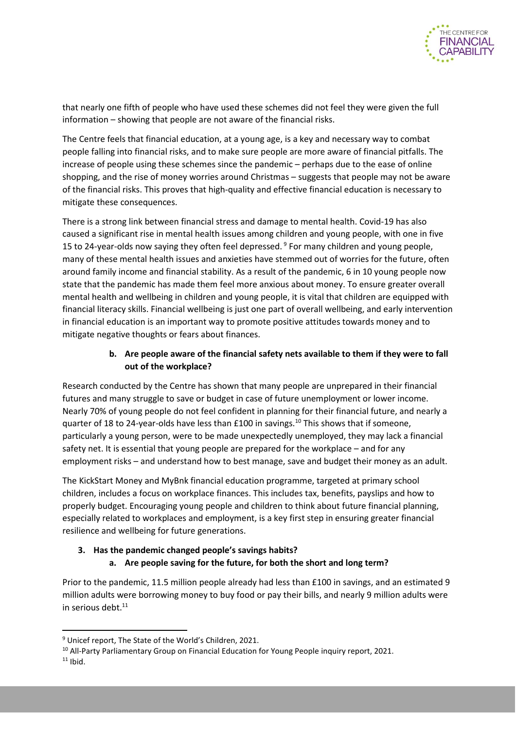

that nearly one fifth of people who have used these schemes did not feel they were given the full information – showing that people are not aware of the financial risks.

The Centre feels that financial education, at a young age, is a key and necessary way to combat people falling into financial risks, and to make sure people are more aware of financial pitfalls. The increase of people using these schemes since the pandemic – perhaps due to the ease of online shopping, and the rise of money worries around Christmas – suggests that people may not be aware of the financial risks. This proves that high-quality and effective financial education is necessary to mitigate these consequences.

There is a strong link between financial stress and damage to mental health. Covid-19 has also caused a significant rise in mental health issues among children and young people, with one in five 15 to 24-year-olds now saying they often feel depressed. <sup>9</sup> For many children and young people, many of these mental health issues and anxieties have stemmed out of worries for the future, often around family income and financial stability. As a result of the pandemic, 6 in 10 young people now state that the pandemic has made them feel more anxious about money. To ensure greater overall mental health and wellbeing in children and young people, it is vital that children are equipped with financial literacy skills. Financial wellbeing is just one part of overall wellbeing, and early intervention in financial education is an important way to promote positive attitudes towards money and to mitigate negative thoughts or fears about finances.

### **b. Are people aware of the financial safety nets available to them if they were to fall out of the workplace?**

Research conducted by the Centre has shown that many people are unprepared in their financial futures and many struggle to save or budget in case of future unemployment or lower income. Nearly 70% of young people do not feel confident in planning for their financial future, and nearly a quarter of 18 to 24-year-olds have less than £100 in savings.<sup>10</sup> This shows that if someone, particularly a young person, were to be made unexpectedly unemployed, they may lack a financial safety net. It is essential that young people are prepared for the workplace – and for any employment risks – and understand how to best manage, save and budget their money as an adult.

The KickStart Money and MyBnk financial education programme, targeted at primary school children, includes a focus on workplace finances. This includes tax, benefits, payslips and how to properly budget. Encouraging young people and children to think about future financial planning, especially related to workplaces and employment, is a key first step in ensuring greater financial resilience and wellbeing for future generations.

# **3. Has the pandemic changed people's savings habits? a. Are people saving for the future, for both the short and long term?**

Prior to the pandemic, 11.5 million people already had less than £100 in savings, and an estimated 9 million adults were borrowing money to buy food or pay their bills, and nearly 9 million adults were in serious debt. $11$ 

<sup>&</sup>lt;sup>9</sup> Unicef report, The State of the World's Children, 2021.

<sup>&</sup>lt;sup>10</sup> All-Party Parliamentary Group on Financial Education for Young People inquiry report, 2021.

 $11$  Ibid.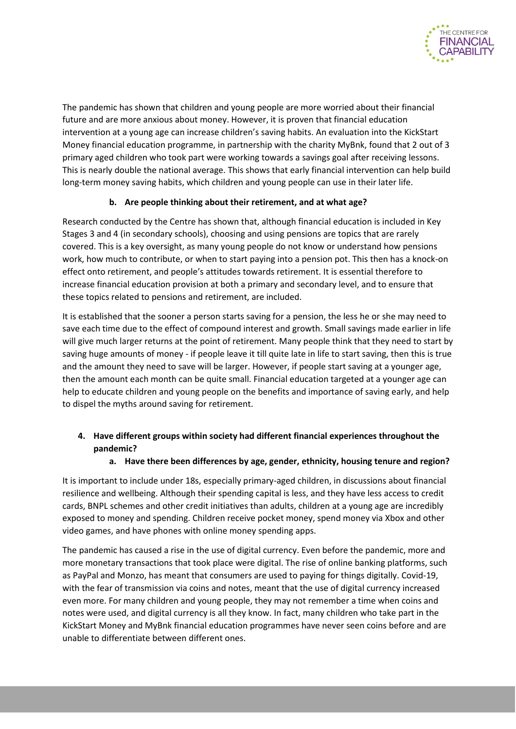

The pandemic has shown that children and young people are more worried about their financial future and are more anxious about money. However, it is proven that financial education intervention at a young age can increase children's saving habits. An evaluation into the KickStart Money financial education programme, in partnership with the charity MyBnk, found that 2 out of 3 primary aged children who took part were working towards a savings goal after receiving lessons. This is nearly double the national average. This shows that early financial intervention can help build long-term money saving habits, which children and young people can use in their later life.

### **b. Are people thinking about their retirement, and at what age?**

Research conducted by the Centre has shown that, although financial education is included in Key Stages 3 and 4 (in secondary schools), choosing and using pensions are topics that are rarely covered. This is a key oversight, as many young people do not know or understand how pensions work, how much to contribute, or when to start paying into a pension pot. This then has a knock-on effect onto retirement, and people's attitudes towards retirement. It is essential therefore to increase financial education provision at both a primary and secondary level, and to ensure that these topics related to pensions and retirement, are included.

It is established that the sooner a person starts saving for a pension, the less he or she may need to save each time due to the effect of compound interest and growth. Small savings made earlier in life will give much larger returns at the point of retirement. Many people think that they need to start by saving huge amounts of money - if people leave it till quite late in life to start saving, then this is true and the amount they need to save will be larger. However, if people start saving at a younger age, then the amount each month can be quite small. Financial education targeted at a younger age can help to educate children and young people on the benefits and importance of saving early, and help to dispel the myths around saving for retirement.

## **4. Have different groups within society had different financial experiences throughout the pandemic?**

### **a. Have there been differences by age, gender, ethnicity, housing tenure and region?**

It is important to include under 18s, especially primary-aged children, in discussions about financial resilience and wellbeing. Although their spending capital is less, and they have less access to credit cards, BNPL schemes and other credit initiatives than adults, children at a young age are incredibly exposed to money and spending. Children receive pocket money, spend money via Xbox and other video games, and have phones with online money spending apps.

The pandemic has caused a rise in the use of digital currency. Even before the pandemic, more and more monetary transactions that took place were digital. The rise of online banking platforms, such as PayPal and Monzo, has meant that consumers are used to paying for things digitally. Covid-19, with the fear of transmission via coins and notes, meant that the use of digital currency increased even more. For many children and young people, they may not remember a time when coins and notes were used, and digital currency is all they know. In fact, many children who take part in the KickStart Money and MyBnk financial education programmes have never seen coins before and are unable to differentiate between different ones.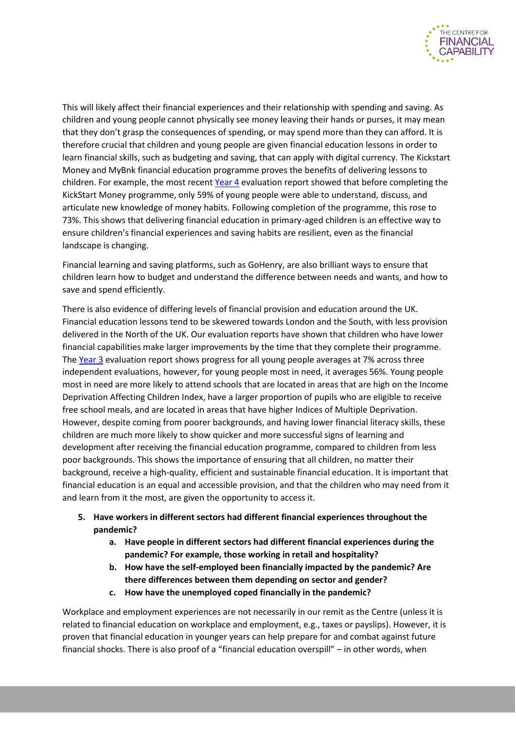

This will likely affect their financial experiences and their relationship with spending and saving. As children and young people cannot physically see money leaving their hands or purses, it may mean that they don't grasp the consequences of spending, or may spend more than they can afford. It is therefore crucial that children and young people are given financial education lessons in order to learn financial skills, such as budgeting and saving, that can apply with digital currency. The Kickstart Money and MyBnk financial education programme proves the benefits of delivering lessons to children. For example, the most recent [Year 4](https://www.mybnk.org/wp-content/uploads/2021/11/Evaluation-YR4-MyBnk-TCFC-2021.pdf) evaluation report showed that before completing the KickStart Money programme, only 59% of young people were able to understand, discuss, and articulate new knowledge of money habits. Following completion of the programme, this rose to 73%. This shows that delivering financial education in primary-aged children is an effective way to ensure children's financial experiences and saving habits are resilient, even as the financial landscape is changing.

Financial learning and saving platforms, such as GoHenry, are also brilliant ways to ensure that children learn how to budget and understand the difference between needs and wants, and how to save and spend efficiently.

There is also evidence of differing levels of financial provision and education around the UK. Financial education lessons tend to be skewered towards London and the South, with less provision delivered in the North of the UK. Our evaluation reports have shown that children who have lower financial capabilities make larger improvements by the time that they complete their programme. The [Year 3](https://www.mybnk.org/wp-content/uploads/2021/06/Financial-education-and-deprivation-MyBnk-KSM-Spring-2021.pdf) evaluation report shows progress for all young people averages at 7% across three independent evaluations, however, for young people most in need, it averages 56%. Young people most in need are more likely to attend schools that are located in areas that are high on the Income Deprivation Affecting Children Index, have a larger proportion of pupils who are eligible to receive free school meals, and are located in areas that have higher Indices of Multiple Deprivation. However, despite coming from poorer backgrounds, and having lower financial literacy skills, these children are much more likely to show quicker and more successful signs of learning and development after receiving the financial education programme, compared to children from less poor backgrounds. This shows the importance of ensuring that all children, no matter their background, receive a high-quality, efficient and sustainable financial education. It is important that financial education is an equal and accessible provision, and that the children who may need from it and learn from it the most, are given the opportunity to access it.

- **5. Have workers in different sectors had different financial experiences throughout the pandemic?**
	- **a. Have people in different sectors had different financial experiences during the pandemic? For example, those working in retail and hospitality?**
	- **b. How have the self-employed been financially impacted by the pandemic? Are there differences between them depending on sector and gender?**
	- **c. How have the unemployed coped financially in the pandemic?**

Workplace and employment experiences are not necessarily in our remit as the Centre (unless it is related to financial education on workplace and employment, e.g., taxes or payslips). However, it is proven that financial education in younger years can help prepare for and combat against future financial shocks. There is also proof of a "financial education overspill" – in other words, when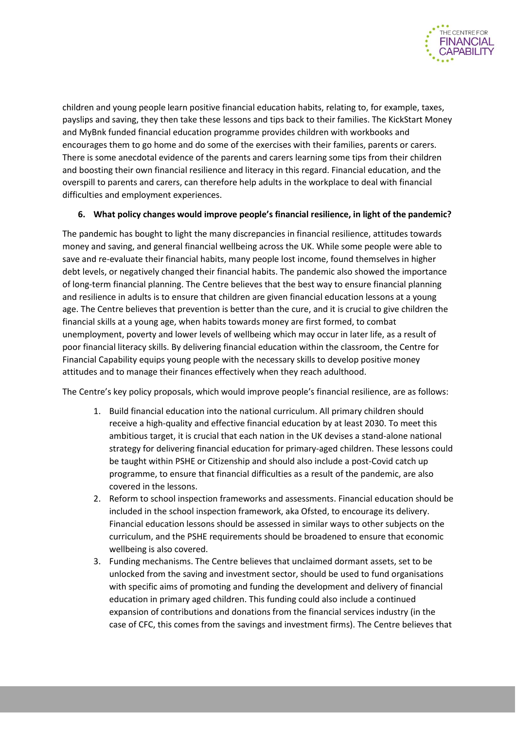

children and young people learn positive financial education habits, relating to, for example, taxes, payslips and saving, they then take these lessons and tips back to their families. The KickStart Money and MyBnk funded financial education programme provides children with workbooks and encourages them to go home and do some of the exercises with their families, parents or carers. There is some anecdotal evidence of the parents and carers learning some tips from their children and boosting their own financial resilience and literacy in this regard. Financial education, and the overspill to parents and carers, can therefore help adults in the workplace to deal with financial difficulties and employment experiences.

#### **6. What policy changes would improve people's financial resilience, in light of the pandemic?**

The pandemic has bought to light the many discrepancies in financial resilience, attitudes towards money and saving, and general financial wellbeing across the UK. While some people were able to save and re-evaluate their financial habits, many people lost income, found themselves in higher debt levels, or negatively changed their financial habits. The pandemic also showed the importance of long-term financial planning. The Centre believes that the best way to ensure financial planning and resilience in adults is to ensure that children are given financial education lessons at a young age. The Centre believes that prevention is better than the cure, and it is crucial to give children the financial skills at a young age, when habits towards money are first formed, to combat unemployment, poverty and lower levels of wellbeing which may occur in later life, as a result of poor financial literacy skills. By delivering financial education within the classroom, the Centre for Financial Capability equips young people with the necessary skills to develop positive money attitudes and to manage their finances effectively when they reach adulthood.

The Centre's key policy proposals, which would improve people's financial resilience, are as follows:

- 1. Build financial education into the national curriculum. All primary children should receive a high-quality and effective financial education by at least 2030. To meet this ambitious target, it is crucial that each nation in the UK devises a stand-alone national strategy for delivering financial education for primary-aged children. These lessons could be taught within PSHE or Citizenship and should also include a post-Covid catch up programme, to ensure that financial difficulties as a result of the pandemic, are also covered in the lessons.
- 2. Reform to school inspection frameworks and assessments. Financial education should be included in the school inspection framework, aka Ofsted, to encourage its delivery. Financial education lessons should be assessed in similar ways to other subjects on the curriculum, and the PSHE requirements should be broadened to ensure that economic wellbeing is also covered.
- 3. Funding mechanisms. The Centre believes that unclaimed dormant assets, set to be unlocked from the saving and investment sector, should be used to fund organisations with specific aims of promoting and funding the development and delivery of financial education in primary aged children. This funding could also include a continued expansion of contributions and donations from the financial services industry (in the case of CFC, this comes from the savings and investment firms). The Centre believes that